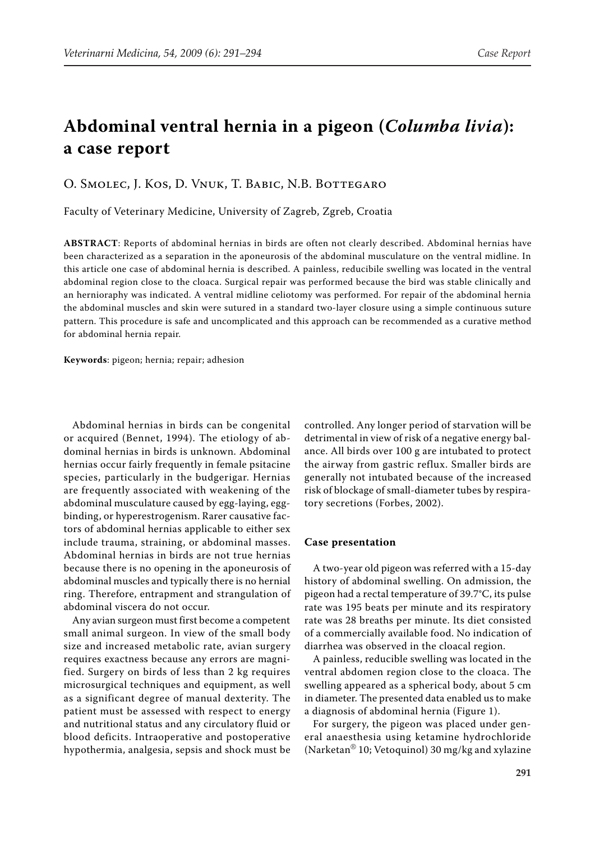## **Abdominal ventral hernia in a pigeon (***Columba livia***): a case report**

O. Smolec, J. Kos, D. Vnuk, T. Babic, N.B. Bottegaro

Faculty of Veterinary Medicine, University of Zagreb, Zgreb, Croatia

**ABSTRACT**: Reports of abdominal hernias in birds are often not clearly described. Abdominal hernias have been characterized as a separation in the aponeurosis of the abdominal musculature on the ventral midline. In this article one case of abdominal hernia is described. A painless, reducibile swelling was located in the ventral abdominal region close to the cloaca. Surgical repair was performed because the bird was stable clinically and an hernioraphy was indicated. A ventral midline celiotomy was performed. For repair of the abdominal hernia the abdominal muscles and skin were sutured in a standard two-layer closure using a simple continuous suture pattern. This procedure is safe and uncomplicated and this approach can be recommended as a curative method for abdominal hernia repair.

**Keywords**: pigeon; hernia; repair; adhesion

Abdominal hernias in birds can be congenital or acquired (Bennet, 1994). The etiology of abdominal hernias in birds is unknown. Abdominal hernias occur fairly frequently in female psitacine species, particularly in the budgerigar. Hernias are frequently associated with weakening of the abdominal musculature caused by egg-laying, eggbinding, or hyperestrogenism. Rarer causative factors of abdominal hernias applicable to either sex include trauma, straining, or abdominal masses. Abdominal hernias in birds are not true hernias because there is no opening in the aponeurosis of abdominal muscles and typically there is no hernial ring. Therefore, entrapment and strangulation of abdominal viscera do not occur.

Any avian surgeon must first become a competent small animal surgeon. In view of the small body size and increased metabolic rate, avian surgery requires exactness because any errors are magnified. Surgery on birds of less than 2 kg requires microsurgical techniques and equipment, as well as a significant degree of manual dexterity. The patient must be assessed with respect to energy and nutritional status and any circulatory fluid or blood deficits. Intraoperative and postoperative hypothermia, analgesia, sepsis and shock must be

controlled. Any longer period of starvation will be detrimental in view of risk of a negative energy balance. All birds over 100 g are intubated to protect the airway from gastric reflux. Smaller birds are generally not intubated because of the increased risk of blockage of small-diameter tubes by respiratory secretions (Forbes, 2002).

## **Case presentation**

A two-year old pigeon was referred with a 15-day history of abdominal swelling. On admission, the pigeon had a rectal temperature of 39.7°C, its pulse rate was 195 beats per minute and its respiratory rate was 28 breaths per minute. Its diet consisted of a commercially available food. No indication of diarrhea was observed in the cloacal region.

A painless, reducible swelling was located in the ventral abdomen region close to the cloaca. The swelling appeared as a spherical body, about 5 cm in diameter. The presented data enabled us to make a diagnosis of abdominal hernia (Figure 1).

For surgery, the pigeon was placed under general anaesthesia using ketamine hydrochloride (Narketan® 10; Vetoquinol) 30 mg/kg and xylazine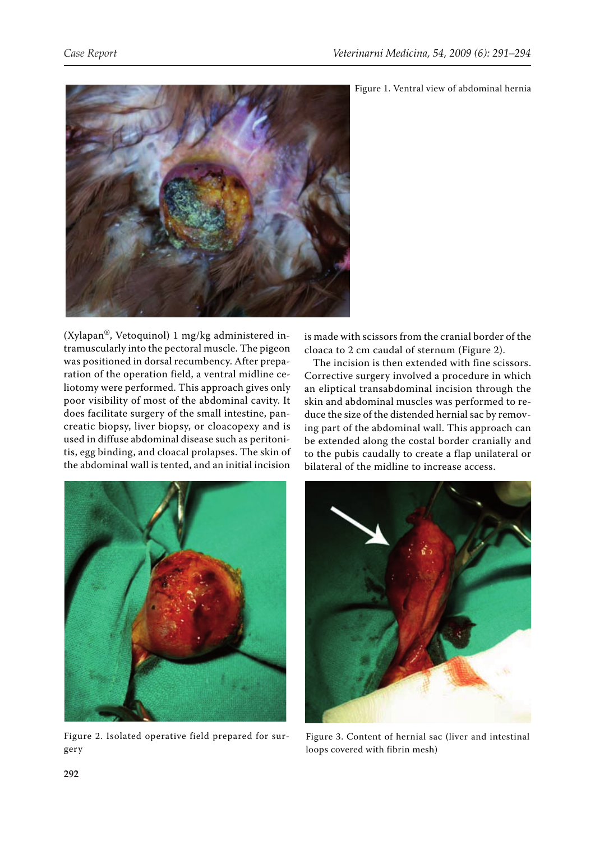

Figure 1. Ventral view of abdominal hernia

(Xylapan®, Vetoquinol) 1 mg/kg administered intramuscularly into the pectoral muscle. The pigeon was positioned in dorsal recumbency. After preparation of the operation field, a ventral midline celiotomy were performed. This approach gives only poor visibility of most of the abdominal cavity. It does facilitate surgery of the small intestine, pancreatic biopsy, liver biopsy, or cloacopexy and is used in diffuse abdominal disease such as peritonitis, egg binding, and cloacal prolapses. The skin of the abdominal wall is tented, and an initial incision



Figure 2. Isolated operative field prepared for surgery

is made with scissors from the cranial border of the cloaca to 2 cm caudal of sternum (Figure 2).

The incision is then extended with fine scissors. Corrective surgery involved a procedure in which an eliptical transabdominal incision through the skin and abdominal muscles was performed to reduce the size of the distended hernial sac by removing part of the abdominal wall. This approach can be extended along the costal border cranially and to the pubis caudally to create a flap unilateral or bilateral of the midline to increase access.



Figure 3. Content of hernial sac (liver and intestinal loops covered with fibrin mesh)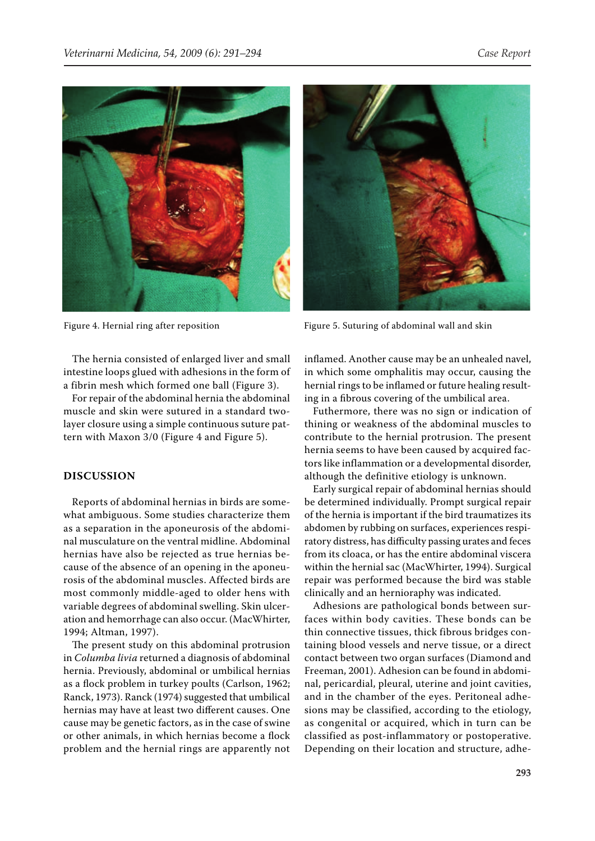



Figure 4. Hernial ring after reposition Figure 5. Suturing of abdominal wall and skin

The hernia consisted of enlarged liver and small intestine loops glued with adhesions in the form of a fibrin mesh which formed one ball (Figure 3).

For repair of the abdominal hernia the abdominal muscle and skin were sutured in a standard twolayer closure using a simple continuous suture pattern with Maxon 3/0 (Figure 4 and Figure 5).

## **DISCUSSION**

Reports of abdominal hernias in birds are somewhat ambiguous. Some studies characterize them as a separation in the aponeurosis of the abdominal musculature on the ventral midline. Abdominal hernias have also be rejected as true hernias because of the absence of an opening in the aponeurosis of the abdominal muscles. Affected birds are most commonly middle-aged to older hens with variable degrees of abdominal swelling. Skin ulceration and hemorrhage can also occur. (MacWhirter, 1994; Altman, 1997).

The present study on this abdominal protrusion in *Columba livia* returned a diagnosis of abdominal hernia. Previously, abdominal or umbilical hernias as a flock problem in turkey poults (Carlson, 1962; Ranck, 1973). Ranck (1974) suggested that umbilical hernias may have at least two different causes. One cause may be genetic factors, as in the case of swine or other animals, in which hernias become a flock problem and the hernial rings are apparently not

inflamed. Another cause may be an unhealed navel, in which some omphalitis may occur, causing the hernial rings to be inflamed or future healing resulting in a fibrous covering of the umbilical area.

Futhermore, there was no sign or indication of thining or weakness of the abdominal muscles to contribute to the hernial protrusion. The present hernia seems to have been caused by acquired factors like inflammation or a developmental disorder, although the definitive etiology is unknown.

Early surgical repair of abdominal hernias should be determined individually. Prompt surgical repair of the hernia is important if the bird traumatizes its abdomen by rubbing on surfaces, experiences respiratory distress, has difficulty passing urates and feces from its cloaca, or has the entire abdominal viscera within the hernial sac (MacWhirter, 1994). Surgical repair was performed because the bird was stable clinically and an hernioraphy was indicated.

Adhesions are pathological bonds between surfaces within body cavities. These bonds can be thin connective tissues, thick fibrous bridges containing blood vessels and nerve tissue, or a direct contact between two organ surfaces (Diamond and Freeman, 2001). Adhesion can be found in abdominal, pericardial, pleural, uterine and joint cavities, and in the chamber of the eyes. Peritoneal adhesions may be classified, according to the etiology, as congenital or acquired, which in turn can be classified as post-inflammatory or postoperative. Depending on their location and structure, adhe